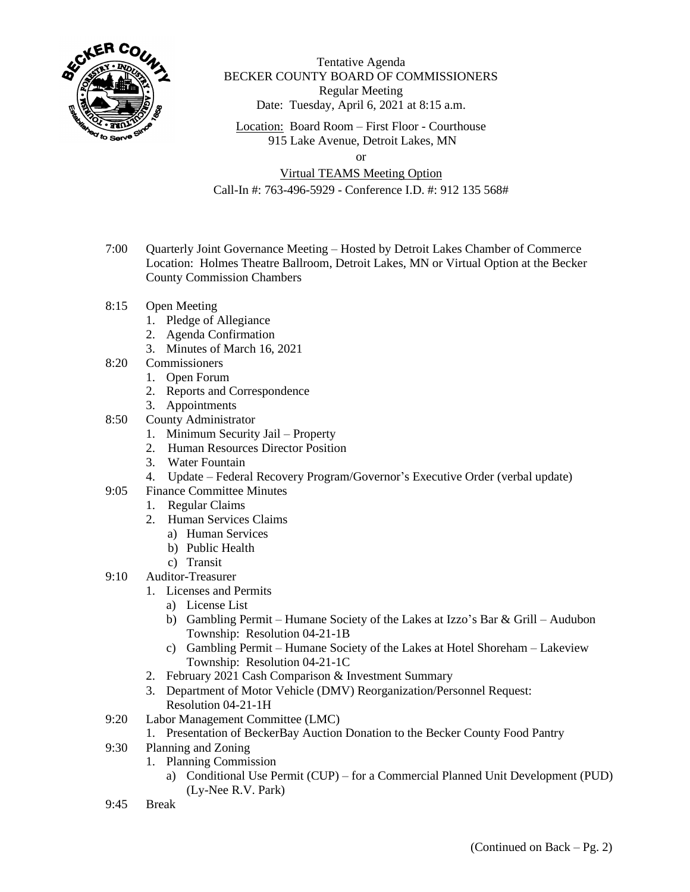

Tentative Agenda BECKER COUNTY BOARD OF COMMISSIONERS Regular Meeting Date: Tuesday, April 6, 2021 at 8:15 a.m.

Location: Board Room – First Floor - Courthouse 915 Lake Avenue, Detroit Lakes, MN

or

## Virtual TEAMS Meeting Option Call-In #: 763-496-5929 - Conference I.D. #: 912 135 568#

- 7:00 Quarterly Joint Governance Meeting Hosted by Detroit Lakes Chamber of Commerce Location: Holmes Theatre Ballroom, Detroit Lakes, MN or Virtual Option at the Becker County Commission Chambers
- 8:15 Open Meeting
	- 1. Pledge of Allegiance
	- 2. Agenda Confirmation
	- 3. Minutes of March 16, 2021
- 8:20 Commissioners
	- 1. Open Forum
	- 2. Reports and Correspondence
	- 3. Appointments
- 8:50 County Administrator
	- 1. Minimum Security Jail Property
	- 2. Human Resources Director Position
	- 3. Water Fountain
	- 4. Update Federal Recovery Program/Governor's Executive Order (verbal update)
- 9:05 Finance Committee Minutes
	- 1. Regular Claims
	- 2. Human Services Claims
		- a) Human Services
		- b) Public Health
		- c) Transit
- 9:10 Auditor-Treasurer
	- 1. Licenses and Permits
		- a) License List
		- b) Gambling Permit Humane Society of the Lakes at Izzo's Bar & Grill Audubon Township: Resolution 04-21-1B
		- c) Gambling Permit Humane Society of the Lakes at Hotel Shoreham Lakeview Township: Resolution 04-21-1C
		- 2. February 2021 Cash Comparison & Investment Summary
		- 3. Department of Motor Vehicle (DMV) Reorganization/Personnel Request: Resolution 04-21-1H
- 9:20 Labor Management Committee (LMC)
	- 1. Presentation of BeckerBay Auction Donation to the Becker County Food Pantry
- 9:30 Planning and Zoning
	- 1. Planning Commission
		- a) Conditional Use Permit (CUP) for a Commercial Planned Unit Development (PUD) (Ly-Nee R.V. Park)
- 9:45 Break